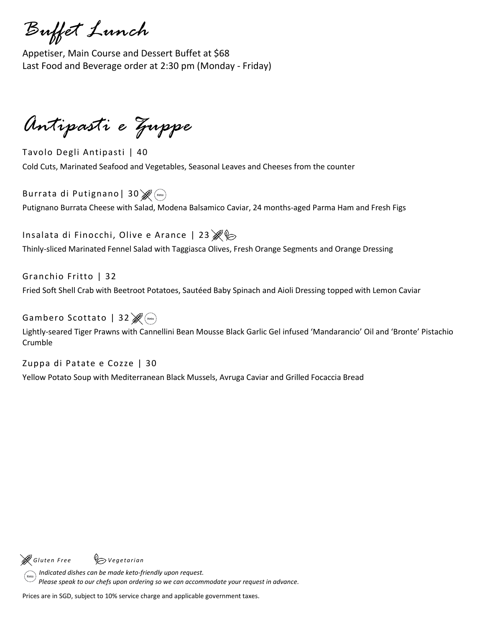*Buffet Lunch*

Appetiser, Main Course and Dessert Buffet at \$68 Last Food and Beverage order at 2:30 pm (Monday - Friday)

*Antipasti e Zuppe*

Tavolo Degli Antipasti | 40 Cold Cuts, Marinated Seafood and Vegetables, Seasonal Leaves and Cheeses from the counter

Burrata di Putignano | 30  $\mathscr{B}$ <sup>(Keto</sup>) Putignano Burrata Cheese with Salad, Modena Balsamico Caviar, 24 months-aged Parma Ham and Fresh Figs

Insalata di Finocchi, Olive e Arance | 23  $\mathcal{E}$ Thinly-sliced Marinated Fennel Salad with Taggiasca Olives, Fresh Orange Segments and Orange Dressing

Granchio Fritto | 32 Fried Soft Shell Crab with Beetroot Potatoes, Sautéed Baby Spinach and Aioli Dressing topped with Lemon Caviar

Gambero Scottato | 32  $\mathscr{B}(\mathbb{R}^{n})$ 

Lightly-seared Tiger Prawns with Cannellini Bean Mousse Black Garlic Gel infused 'Mandarancio' Oil and 'Bronte' Pistachio Crumble

Zuppa di Patate e Cozze | 30 Yellow Potato Soup with Mediterranean Black Mussels, Avruga Caviar and Grilled Focaccia Bread

*G l ute n F r e e V e ge ta r i an*

 *Indicated dishes can be made keto-friendly upon request. Please speak to our chefs upon ordering so we can accommodate your request in advance.*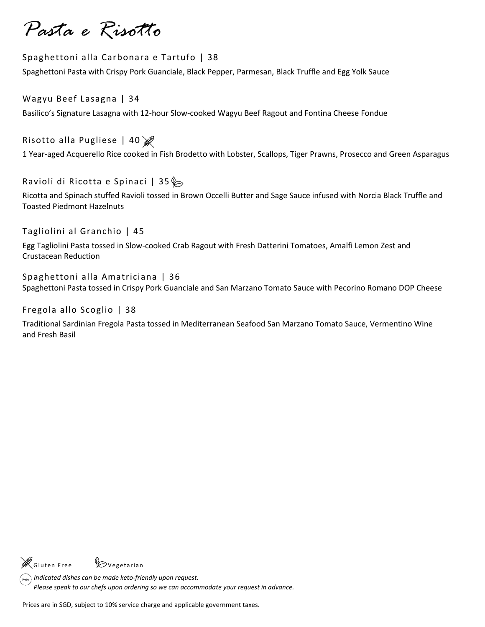*Pasta e Risotto*

#### Spaghettoni alla Carbonara e Tartufo | 38

Spaghettoni Pasta with Crispy Pork Guanciale, Black Pepper, Parmesan, Black Truffle and Egg Yolk Sauce

Wagyu Beef Lasagna | 34 Basilico's Signature Lasagna with 12-hour Slow-cooked Wagyu Beef Ragout and Fontina Cheese Fondue

Risotto alla Pugliese | 40

1 Year-aged Acquerello Rice cooked in Fish Brodetto with Lobster, Scallops, Tiger Prawns, Prosecco and Green Asparagus

Ravioli di Ricotta e Spinaci | 35 $\diamond$ 

Ricotta and Spinach stuffed Ravioli tossed in Brown Occelli Butter and Sage Sauce infused with Norcia Black Truffle and Toasted Piedmont Hazelnuts

Tagliolini al Granchio | 45

Egg Tagliolini Pasta tossed in Slow-cooked Crab Ragout with Fresh Datterini Tomatoes, Amalfi Lemon Zest and Crustacean Reduction

Spaghettoni alla Amatriciana | 36 Spaghettoni Pasta tossed in Crispy Pork Guanciale and San Marzano Tomato Sauce with Pecorino Romano DOP Cheese

Fregola allo Scoglio | 38

Traditional Sardinian Fregola Pasta tossed in Mediterranean Seafood San Marzano Tomato Sauce, Vermentino Wine and Fresh Basil

'<br>Gluten Free <sup>V</sup>ovegetarian

 *Indicated dishes can be made keto-friendly upon request.*

 *Please speak to our chefs upon ordering so we can accommodate your request in advance.*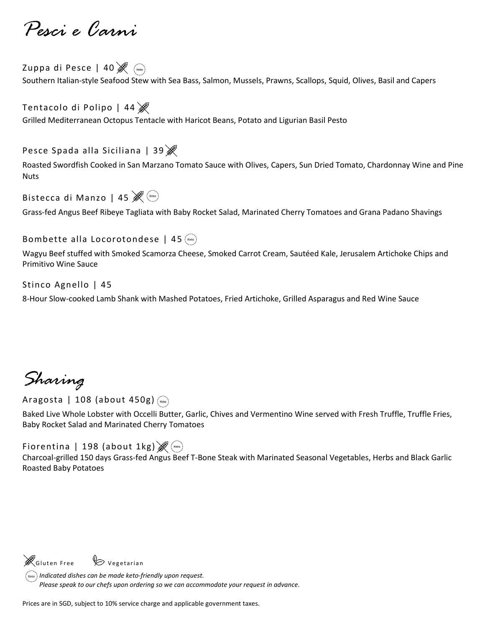*Pesci e Carni*

Zuppa di Pesce | 40<sup>8</sup> Southern Italian-style Seafood Stew with Sea Bass, Salmon, Mussels, Prawns, Scallops, Squid, Olives, Basil and Capers

Tentacolo di Polipo | 44 Grilled Mediterranean Octopus Tentacle with Haricot Beans, Potato and Ligurian Basil Pesto

Pesce Spada alla Siciliana | 39

Roasted Swordfish Cooked in San Marzano Tomato Sauce with Olives, Capers, Sun Dried Tomato, Chardonnay Wine and Pine Nuts

Bistecca di Manzo | 45

Grass-fed Angus Beef Ribeye Tagliata with Baby Rocket Salad, Marinated Cherry Tomatoes and Grana Padano Shavings

### Bombette alla Locorotondese | 45  $($

Wagyu Beef stuffed with Smoked Scamorza Cheese, Smoked Carrot Cream, Sautéed Kale, Jerusalem Artichoke Chips and Primitivo Wine Sauce

Stinco Agnello | 45

8-Hour Slow-cooked Lamb Shank with Mashed Potatoes, Fried Artichoke, Grilled Asparagus and Red Wine Sauce

*Sharing*

Aragosta | 108 (about 450g) (Keto)

Baked Live Whole Lobster with Occelli Butter, Garlic, Chives and Vermentino Wine served with Fresh Truffle, Truffle Fries, Baby Rocket Salad and Marinated Cherry Tomatoes

Fiorentina | 198 (about 1kg)  $\mathscr{B}$  (keto)

Charcoal-grilled 150 days Grass-fed Angus Beef T-Bone Steak with Marinated Seasonal Vegetables, Herbs and Black Garlic Roasted Baby Potatoes

 $\mathscr{E}_{\mathsf{Gluten\,Free}}$  Vegetarian

*Indicated dishes can be made keto-friendly upon request. Please speak to our chefs upon ordering so we can accommodate your request in advance.*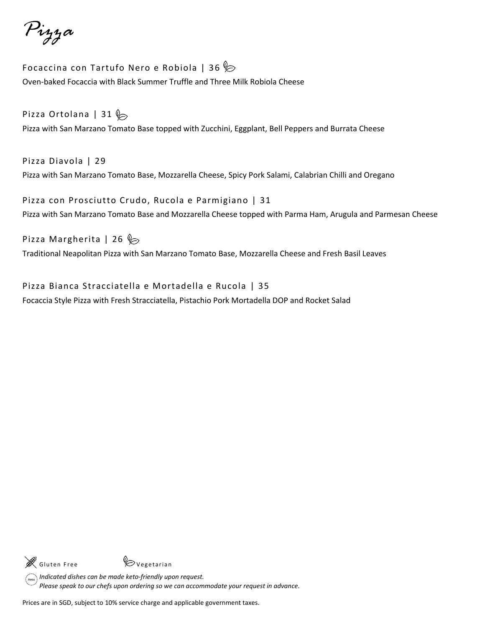*Pizza*

Focaccina con Tartufo Nero e Robiola | 36 $\%$ Oven-baked Focaccia with Black Summer Truffle and Three Milk Robiola Cheese

## Pizza Ortolana | 31  $\&$

Pizza with San Marzano Tomato Base topped with Zucchini, Eggplant, Bell Peppers and Burrata Cheese

Pizza Diavola | 29 Pizza with San Marzano Tomato Base, Mozzarella Cheese, Spicy Pork Salami, Calabrian Chilli and Oregano

Pizza con Prosciutto Crudo, Rucola e Parmigiano | 31 Pizza with San Marzano Tomato Base and Mozzarella Cheese topped with Parma Ham, Arugula and Parmesan Cheese

### Pizza Margherita | 26  $\triangleright$

Traditional Neapolitan Pizza with San Marzano Tomato Base, Mozzarella Cheese and Fresh Basil Leaves

Pizza Bianca Stracciatella e Mortadella e Rucola | 35 Focaccia Style Pizza with Fresh Stracciatella, Pistachio Pork Mortadella DOP and Rocket Salad



*Indicated dishes can be made keto-friendly upon request. Please speak to our chefs upon ordering so we can accommodate your request in advance.*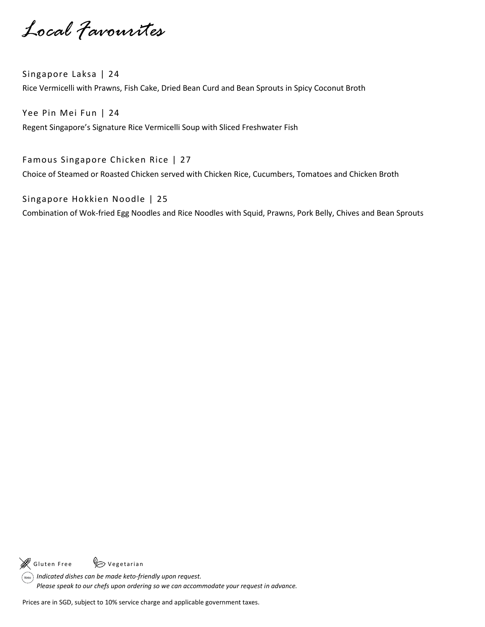*Local Favourites*

Singapore Laksa | 24 Rice Vermicelli with Prawns, Fish Cake, Dried Bean Curd and Bean Sprouts in Spicy Coconut Broth

Yee Pin Mei Fun | 24 Regent Singapore's Signature Rice Vermicelli Soup with Sliced Freshwater Fish

Famous Singapore Chicken Rice | 27 Choice of Steamed or Roasted Chicken served with Chicken Rice, Cucumbers, Tomatoes and Chicken Broth

Singapore Hokkien Noodle | 25 Combination of Wok-fried Egg Noodles and Rice Noodles with Squid, Prawns, Pork Belly, Chives and Bean Sprouts

Gluten Free (Cale Vegetarian

*Indicated dishes can be made keto-friendly upon request. Please speak to our chefs upon ordering so we can accommodate your request in advance.*